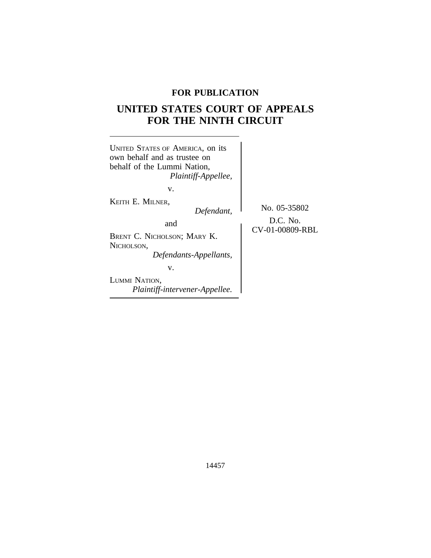# **FOR PUBLICATION**

# **UNITED STATES COURT OF APPEALS FOR THE NINTH CIRCUIT**

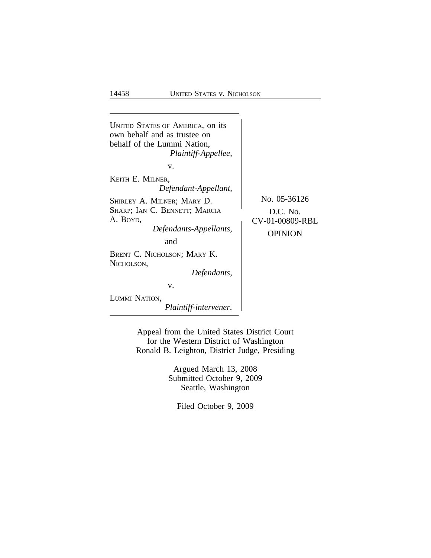

Appeal from the United States District Court for the Western District of Washington Ronald B. Leighton, District Judge, Presiding

> Argued March 13, 2008 Submitted October 9, 2009 Seattle, Washington

Filed October 9, 2009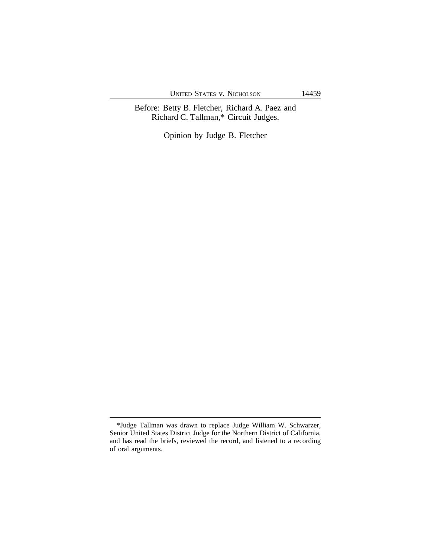UNITED STATES V. NICHOLSON 14459

Before: Betty B. Fletcher, Richard A. Paez and Richard C. Tallman,\* Circuit Judges.

Opinion by Judge B. Fletcher

<sup>\*</sup>Judge Tallman was drawn to replace Judge William W. Schwarzer, Senior United States District Judge for the Northern District of California, and has read the briefs, reviewed the record, and listened to a recording of oral arguments.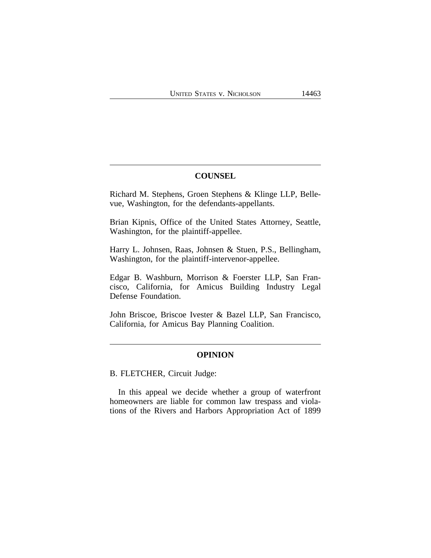### **COUNSEL**

Richard M. Stephens, Groen Stephens & Klinge LLP, Bellevue, Washington, for the defendants-appellants.

Brian Kipnis, Office of the United States Attorney, Seattle, Washington, for the plaintiff-appellee.

Harry L. Johnsen, Raas, Johnsen & Stuen, P.S., Bellingham, Washington, for the plaintiff-intervenor-appellee.

Edgar B. Washburn, Morrison & Foerster LLP, San Francisco, California, for Amicus Building Industry Legal Defense Foundation.

John Briscoe, Briscoe Ivester & Bazel LLP, San Francisco, California, for Amicus Bay Planning Coalition.

### **OPINION**

B. FLETCHER, Circuit Judge:

In this appeal we decide whether a group of waterfront homeowners are liable for common law trespass and violations of the Rivers and Harbors Appropriation Act of 1899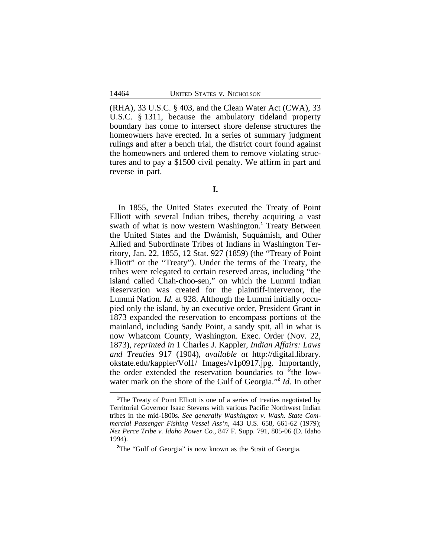(RHA), 33 U.S.C. § 403, and the Clean Water Act (CWA), 33 U.S.C. § 1311, because the ambulatory tideland property boundary has come to intersect shore defense structures the homeowners have erected. In a series of summary judgment rulings and after a bench trial, the district court found against the homeowners and ordered them to remove violating structures and to pay a \$1500 civil penalty. We affirm in part and reverse in part.

In 1855, the United States executed the Treaty of Point Elliott with several Indian tribes, thereby acquiring a vast swath of what is now western Washington.**<sup>1</sup>** Treaty Between the United States and the Dwámish, Suquámish, and Other Allied and Subordinate Tribes of Indians in Washington Territory, Jan. 22, 1855, 12 Stat. 927 (1859) (the "Treaty of Point Elliott" or the "Treaty"). Under the terms of the Treaty, the tribes were relegated to certain reserved areas, including "the island called Chah-choo-sen," on which the Lummi Indian Reservation was created for the plaintiff-intervenor, the Lummi Nation. *Id.* at 928. Although the Lummi initially occupied only the island, by an executive order, President Grant in 1873 expanded the reservation to encompass portions of the mainland, including Sandy Point, a sandy spit, all in what is now Whatcom County, Washington. Exec. Order (Nov. 22, 1873), *reprinted in* 1 Charles J. Kappler, *Indian Affairs: Laws and Treaties* 917 (1904), *available at* http://digital.library. okstate.edu/kappler/Vol1/ Images/v1p0917.jpg. Importantly, the order extended the reservation boundaries to "the lowwater mark on the shore of the Gulf of Georgia." **2** *Id.* In other

<sup>&</sup>lt;sup>1</sup>The Treaty of Point Elliott is one of a series of treaties negotiated by Territorial Governor Isaac Stevens with various Pacific Northwest Indian tribes in the mid-1800s. *See generally Washington v. Wash. State Commercial Passenger Fishing Vessel Ass'n*, 443 U.S. 658, 661-62 (1979); *Nez Perce Tribe v. Idaho Power Co.*, 847 F. Supp. 791, 805-06 (D. Idaho 1994).

<sup>&</sup>lt;sup>2</sup>The "Gulf of Georgia" is now known as the Strait of Georgia.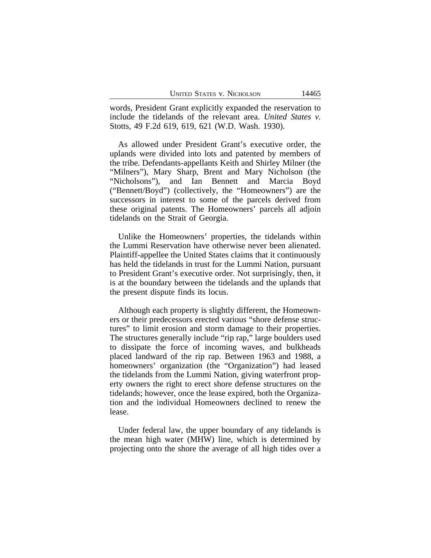words, President Grant explicitly expanded the reservation to include the tidelands of the relevant area. *United States v.* Stotts, 49 F.2d 619, 619, 621 (W.D. Wash. 1930).

As allowed under President Grant's executive order, the uplands were divided into lots and patented by members of the tribe. Defendants-appellants Keith and Shirley Milner (the "Milners"), Mary Sharp, Brent and Mary Nicholson (the "Nicholsons"), and Ian Bennett and Marcia Boyd ("Bennett/Boyd") (collectively, the "Homeowners") are the successors in interest to some of the parcels derived from these original patents. The Homeowners' parcels all adjoin tidelands on the Strait of Georgia.

Unlike the Homeowners' properties, the tidelands within the Lummi Reservation have otherwise never been alienated. Plaintiff-appellee the United States claims that it continuously has held the tidelands in trust for the Lummi Nation, pursuant to President Grant's executive order. Not surprisingly, then, it is at the boundary between the tidelands and the uplands that the present dispute finds its locus.

Although each property is slightly different, the Homeowners or their predecessors erected various "shore defense structures" to limit erosion and storm damage to their properties. The structures generally include "rip rap," large boulders used to dissipate the force of incoming waves, and bulkheads placed landward of the rip rap. Between 1963 and 1988, a homeowners' organization (the "Organization") had leased the tidelands from the Lummi Nation, giving waterfront property owners the right to erect shore defense structures on the tidelands; however, once the lease expired, both the Organization and the individual Homeowners declined to renew the lease.

Under federal law, the upper boundary of any tidelands is the mean high water (MHW) line, which is determined by projecting onto the shore the average of all high tides over a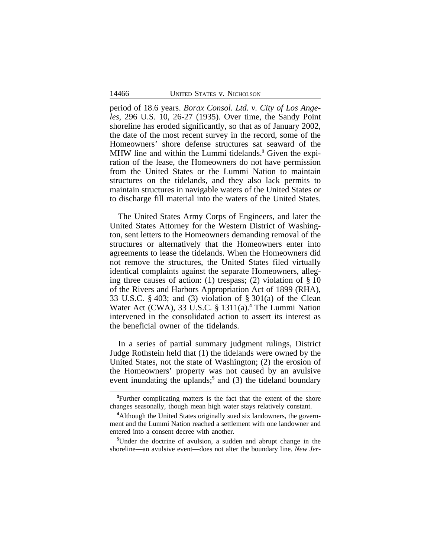period of 18.6 years. *Borax Consol. Ltd. v. City of Los Angeles*, 296 U.S. 10, 26-27 (1935). Over time, the Sandy Point shoreline has eroded significantly, so that as of January 2002, the date of the most recent survey in the record, some of the Homeowners' shore defense structures sat seaward of the MHW line and within the Lummi tidelands.**<sup>3</sup>** Given the expiration of the lease, the Homeowners do not have permission from the United States or the Lummi Nation to maintain structures on the tidelands, and they also lack permits to maintain structures in navigable waters of the United States or to discharge fill material into the waters of the United States.

The United States Army Corps of Engineers, and later the United States Attorney for the Western District of Washington, sent letters to the Homeowners demanding removal of the structures or alternatively that the Homeowners enter into agreements to lease the tidelands. When the Homeowners did not remove the structures, the United States filed virtually identical complaints against the separate Homeowners, alleging three causes of action: (1) trespass; (2) violation of § 10 of the Rivers and Harbors Appropriation Act of 1899 (RHA), 33 U.S.C. § 403; and (3) violation of § 301(a) of the Clean Water Act (CWA), 33 U.S.C. § 1311(a).**<sup>4</sup>** The Lummi Nation intervened in the consolidated action to assert its interest as the beneficial owner of the tidelands.

In a series of partial summary judgment rulings, District Judge Rothstein held that (1) the tidelands were owned by the United States, not the state of Washington; (2) the erosion of the Homeowners' property was not caused by an avulsive event inundating the uplands;<sup>5</sup> and (3) the tideland boundary

**<sup>3</sup>**Further complicating matters is the fact that the extent of the shore changes seasonally, though mean high water stays relatively constant.

**<sup>4</sup>**Although the United States originally sued six landowners, the government and the Lummi Nation reached a settlement with one landowner and entered into a consent decree with another.

**<sup>5</sup>**Under the doctrine of avulsion, a sudden and abrupt change in the shoreline—an avulsive event—does not alter the boundary line. *New Jer-*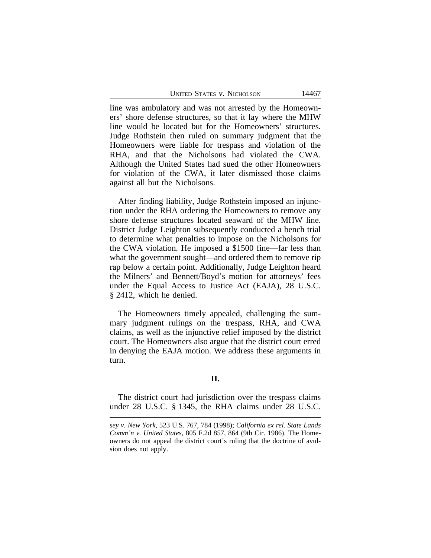UNITED STATES V. NICHOLSON 14467

line was ambulatory and was not arrested by the Homeowners' shore defense structures, so that it lay where the MHW line would be located but for the Homeowners' structures. Judge Rothstein then ruled on summary judgment that the Homeowners were liable for trespass and violation of the RHA, and that the Nicholsons had violated the CWA. Although the United States had sued the other Homeowners for violation of the CWA, it later dismissed those claims against all but the Nicholsons.

After finding liability, Judge Rothstein imposed an injunction under the RHA ordering the Homeowners to remove any shore defense structures located seaward of the MHW line. District Judge Leighton subsequently conducted a bench trial to determine what penalties to impose on the Nicholsons for the CWA violation. He imposed a \$1500 fine—far less than what the government sought—and ordered them to remove rip rap below a certain point. Additionally, Judge Leighton heard the Milners' and Bennett/Boyd's motion for attorneys' fees under the Equal Access to Justice Act (EAJA), 28 U.S.C. § 2412, which he denied.

The Homeowners timely appealed, challenging the summary judgment rulings on the trespass, RHA, and CWA claims, as well as the injunctive relief imposed by the district court. The Homeowners also argue that the district court erred in denying the EAJA motion. We address these arguments in turn.

### **II.**

The district court had jurisdiction over the trespass claims under 28 U.S.C. § 1345, the RHA claims under 28 U.S.C.

*sey v. New York*, 523 U.S. 767, 784 (1998); *California ex rel. State Lands Comm'n v. United States*, 805 F.2d 857, 864 (9th Cir. 1986). The Homeowners do not appeal the district court's ruling that the doctrine of avulsion does not apply.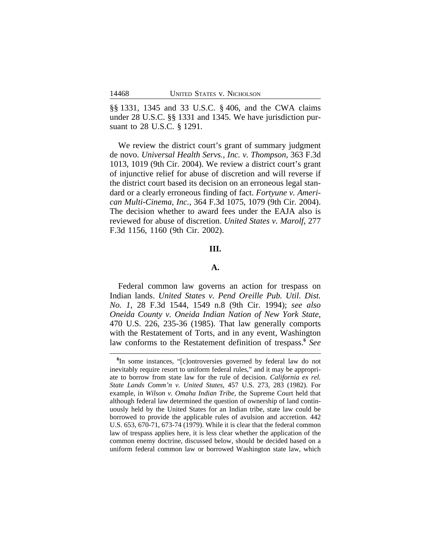§§ 1331, 1345 and 33 U.S.C. § 406, and the CWA claims under 28 U.S.C. §§ 1331 and 1345. We have jurisdiction pursuant to 28 U.S.C. § 1291.

We review the district court's grant of summary judgment de novo. *Universal Health Servs., Inc. v. Thompson*, 363 F.3d 1013, 1019 (9th Cir. 2004). We review a district court's grant of injunctive relief for abuse of discretion and will reverse if the district court based its decision on an erroneous legal standard or a clearly erroneous finding of fact. *Fortyune v. American Multi-Cinema, Inc.*, 364 F.3d 1075, 1079 (9th Cir. 2004). The decision whether to award fees under the EAJA also is reviewed for abuse of discretion. *United States v. Marolf*, 277 F.3d 1156, 1160 (9th Cir. 2002).

#### **III.**

## **A.**

Federal common law governs an action for trespass on Indian lands. *United States v. Pend Oreille Pub. Util. Dist. No. 1*, 28 F.3d 1544, 1549 n.8 (9th Cir. 1994); *see also Oneida County v. Oneida Indian Nation of New York State*, 470 U.S. 226, 235-36 (1985). That law generally comports with the Restatement of Torts, and in any event, Washington law conforms to the Restatement definition of trespass.**<sup>6</sup>** *See*

**<sup>6</sup>** In some instances, "[c]ontroversies governed by federal law do not inevitably require resort to uniform federal rules," and it may be appropriate to borrow from state law for the rule of decision. *California ex rel. State Lands Comm'n v. United States*, 457 U.S. 273, 283 (1982). For example, in *Wilson v. Omaha Indian Tribe*, the Supreme Court held that although federal law determined the question of ownership of land continuously held by the United States for an Indian tribe, state law could be borrowed to provide the applicable rules of avulsion and accretion. 442 U.S. 653, 670-71, 673-74 (1979). While it is clear that the federal common law of trespass applies here, it is less clear whether the application of the common enemy doctrine, discussed below, should be decided based on a uniform federal common law or borrowed Washington state law, which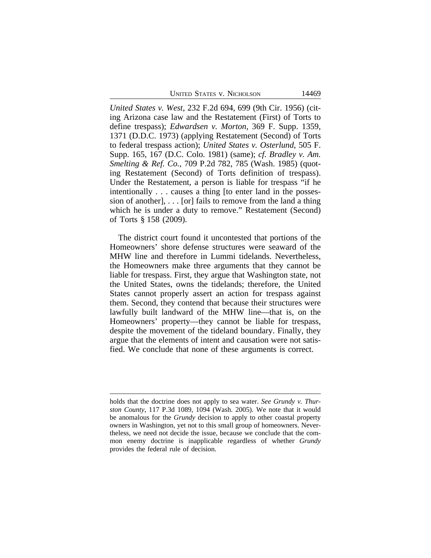UNITED STATES V. NICHOLSON 14469

*United States v. West*, 232 F.2d 694, 699 (9th Cir. 1956) (citing Arizona case law and the Restatement (First) of Torts to define trespass); *Edwardsen v. Morton*, 369 F. Supp. 1359, 1371 (D.D.C. 1973) (applying Restatement (Second) of Torts to federal trespass action); *United States v. Osterlund*, 505 F. Supp. 165, 167 (D.C. Colo. 1981) (same); *cf. Bradley v. Am. Smelting & Ref. Co.*, 709 P.2d 782, 785 (Wash. 1985) (quoting Restatement (Second) of Torts definition of trespass). Under the Restatement, a person is liable for trespass "if he intentionally . . . causes a thing [to enter land in the possession of another],  $\ldots$  [or] fails to remove from the land a thing which he is under a duty to remove." Restatement (Second) of Torts § 158 (2009).

The district court found it uncontested that portions of the Homeowners' shore defense structures were seaward of the MHW line and therefore in Lummi tidelands. Nevertheless, the Homeowners make three arguments that they cannot be liable for trespass. First, they argue that Washington state, not the United States, owns the tidelands; therefore, the United States cannot properly assert an action for trespass against them. Second, they contend that because their structures were lawfully built landward of the MHW line—that is, on the Homeowners' property—they cannot be liable for trespass, despite the movement of the tideland boundary. Finally, they argue that the elements of intent and causation were not satisfied. We conclude that none of these arguments is correct.

holds that the doctrine does not apply to sea water. *See Grundy v. Thurston County*, 117 P.3d 1089, 1094 (Wash. 2005)*.* We note that it would be anomalous for the *Grundy* decision to apply to other coastal property owners in Washington, yet not to this small group of homeowners. Nevertheless, we need not decide the issue, because we conclude that the common enemy doctrine is inapplicable regardless of whether *Grundy* provides the federal rule of decision.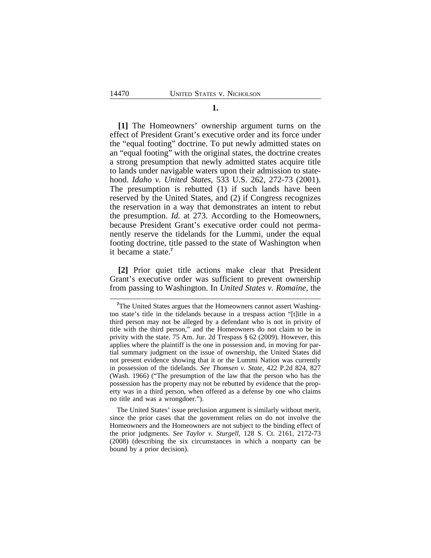**[1]** The Homeowners' ownership argument turns on the effect of President Grant's executive order and its force under the "equal footing" doctrine. To put newly admitted states on an "equal footing" with the original states, the doctrine creates a strong presumption that newly admitted states acquire title to lands under navigable waters upon their admission to statehood. *Idaho v. United States*, 533 U.S. 262, 272-73 (2001). The presumption is rebutted (1) if such lands have been reserved by the United States, and (2) if Congress recognizes the reservation in a way that demonstrates an intent to rebut the presumption. *Id.* at 273. According to the Homeowners, because President Grant's executive order could not permanently reserve the tidelands for the Lummi, under the equal footing doctrine, title passed to the state of Washington when it became a state.**<sup>7</sup>**

**[2]** Prior quiet title actions make clear that President Grant's executive order was sufficient to prevent ownership from passing to Washington. In *United States v. Romaine*, the

<sup>&</sup>lt;sup>7</sup>The United States argues that the Homeowners cannot assert Washington state's title in the tidelands because in a trespass action "[t]itle in a third person may not be alleged by a defendant who is not in privity of title with the third person," and the Homeowners do not claim to be in privity with the state. 75 Am. Jur. 2d Trespass § 62 (2009). However, this applies where the plaintiff is the one in possession and, in moving for partial summary judgment on the issue of ownership, the United States did not present evidence showing that it or the Lummi Nation was currently in possession of the tidelands. *See Thomsen v. State*, 422 P.2d 824, 827 (Wash. 1966) ("The presumption of the law that the person who has the possession has the property may not be rebutted by evidence that the property was in a third person, when offered as a defense by one who claims no title and was a wrongdoer.").

The United States' issue preclusion argument is similarly without merit, since the prior cases that the government relies on do not involve the Homeowners and the Homeowners are not subject to the binding effect of the prior judgments. *See Taylor v. Sturgell*, 128 S. Ct. 2161, 2172-73 (2008) (describing the six circumstances in which a nonparty can be bound by a prior decision).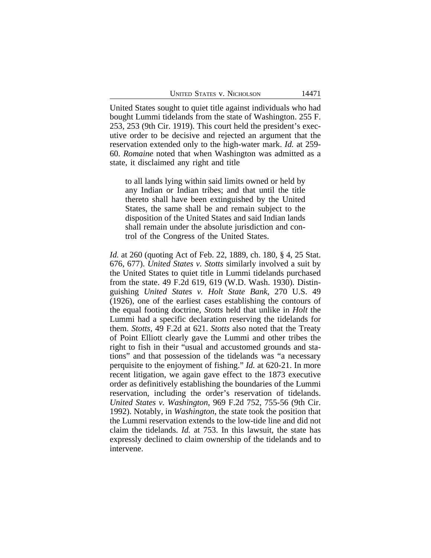United States sought to quiet title against individuals who had bought Lummi tidelands from the state of Washington. 255 F. 253, 253 (9th Cir. 1919). This court held the president's executive order to be decisive and rejected an argument that the reservation extended only to the high-water mark. *Id.* at 259- 60. *Romaine* noted that when Washington was admitted as a state, it disclaimed any right and title

to all lands lying within said limits owned or held by any Indian or Indian tribes; and that until the title thereto shall have been extinguished by the United States, the same shall be and remain subject to the disposition of the United States and said Indian lands shall remain under the absolute jurisdiction and control of the Congress of the United States.

*Id.* at 260 (quoting Act of Feb. 22, 1889, ch. 180, § 4, 25 Stat. 676, 677). *United States v. Stotts* similarly involved a suit by the United States to quiet title in Lummi tidelands purchased from the state. 49 F.2d 619, 619 (W.D. Wash. 1930). Distinguishing *United States v. Holt State Bank*, 270 U.S. 49 (1926), one of the earliest cases establishing the contours of the equal footing doctrine, *Stotts* held that unlike in *Holt* the Lummi had a specific declaration reserving the tidelands for them. *Stotts*, 49 F.2d at 621. *Stotts* also noted that the Treaty of Point Elliott clearly gave the Lummi and other tribes the right to fish in their "usual and accustomed grounds and stations" and that possession of the tidelands was "a necessary perquisite to the enjoyment of fishing." *Id.* at 620-21. In more recent litigation, we again gave effect to the 1873 executive order as definitively establishing the boundaries of the Lummi reservation, including the order's reservation of tidelands. *United States v. Washington*, 969 F.2d 752, 755-56 (9th Cir. 1992). Notably, in *Washington*, the state took the position that the Lummi reservation extends to the low-tide line and did not claim the tidelands. *Id.* at 753. In this lawsuit, the state has expressly declined to claim ownership of the tidelands and to intervene.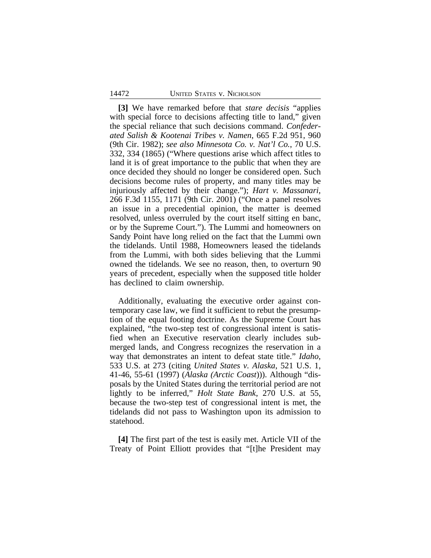**[3]** We have remarked before that *stare decisis* "applies with special force to decisions affecting title to land," given the special reliance that such decisions command. *Confederated Salish & Kootenai Tribes v. Namen*, 665 F.2d 951, 960 (9th Cir. 1982); *see also Minnesota Co. v. Nat'l Co.*, 70 U.S. 332, 334 (1865) ("Where questions arise which affect titles to land it is of great importance to the public that when they are once decided they should no longer be considered open. Such decisions become rules of property, and many titles may be injuriously affected by their change."); *Hart v. Massanari*, 266 F.3d 1155, 1171 (9th Cir. 2001) ("Once a panel resolves an issue in a precedential opinion, the matter is deemed resolved, unless overruled by the court itself sitting en banc, or by the Supreme Court."). The Lummi and homeowners on Sandy Point have long relied on the fact that the Lummi own the tidelands. Until 1988, Homeowners leased the tidelands from the Lummi, with both sides believing that the Lummi owned the tidelands. We see no reason, then, to overturn 90 years of precedent, especially when the supposed title holder has declined to claim ownership.

Additionally, evaluating the executive order against contemporary case law, we find it sufficient to rebut the presumption of the equal footing doctrine. As the Supreme Court has explained, "the two-step test of congressional intent is satisfied when an Executive reservation clearly includes submerged lands, and Congress recognizes the reservation in a way that demonstrates an intent to defeat state title." *Idaho*, 533 U.S. at 273 (citing *United States v. Alaska*, 521 U.S. 1, 41-46, 55-61 (1997) (*Alaska (Arctic Coast*))). Although "disposals by the United States during the territorial period are not lightly to be inferred," *Holt State Bank*, 270 U.S. at 55, because the two-step test of congressional intent is met, the tidelands did not pass to Washington upon its admission to statehood.

**[4]** The first part of the test is easily met. Article VII of the Treaty of Point Elliott provides that "[t]he President may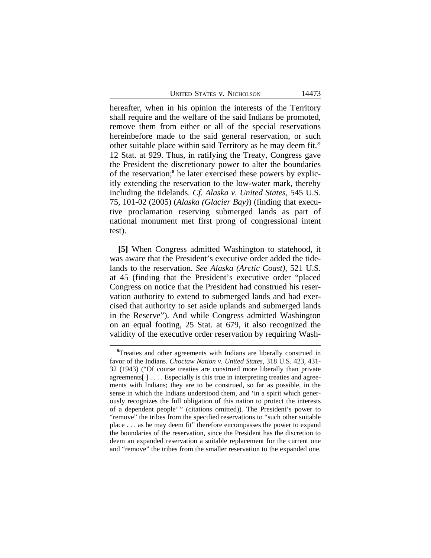|  |  |  | UNITED STATES V. NICHOLSON |
|--|--|--|----------------------------|
|--|--|--|----------------------------|

hereafter, when in his opinion the interests of the Territory shall require and the welfare of the said Indians be promoted, remove them from either or all of the special reservations hereinbefore made to the said general reservation, or such other suitable place within said Territory as he may deem fit." 12 Stat. at 929. Thus, in ratifying the Treaty, Congress gave the President the discretionary power to alter the boundaries of the reservation;<sup>8</sup> he later exercised these powers by explicitly extending the reservation to the low-water mark, thereby including the tidelands. *Cf. Alaska v. United States*, 545 U.S. 75, 101-02 (2005) (*Alaska (Glacier Bay)*) (finding that executive proclamation reserving submerged lands as part of national monument met first prong of congressional intent test).

**[5]** When Congress admitted Washington to statehood, it was aware that the President's executive order added the tidelands to the reservation. *See Alaska (Arctic Coast)*, 521 U.S. at 45 (finding that the President's executive order "placed Congress on notice that the President had construed his reservation authority to extend to submerged lands and had exercised that authority to set aside uplands and submerged lands in the Reserve"). And while Congress admitted Washington on an equal footing, 25 Stat. at 679, it also recognized the validity of the executive order reservation by requiring Wash-

**<sup>8</sup>**Treaties and other agreements with Indians are liberally construed in favor of the Indians. *Choctaw Nation v. United States*, 318 U.S. 423, 431- 32 (1943) ("Of course treaties are construed more liberally than private agreements  $] \ldots$ . Especially is this true in interpreting treaties and agreements with Indians; they are to be construed, so far as possible, in the sense in which the Indians understood them, and 'in a spirit which generously recognizes the full obligation of this nation to protect the interests of a dependent people' " (citations omitted)). The President's power to "remove" the tribes from the specified reservations to "such other suitable place . . . as he may deem fit" therefore encompasses the power to expand the boundaries of the reservation, since the President has the discretion to deem an expanded reservation a suitable replacement for the current one and "remove" the tribes from the smaller reservation to the expanded one.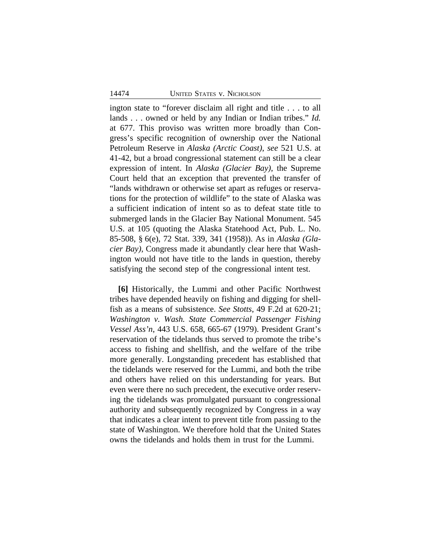ington state to "forever disclaim all right and title . . . to all lands . . . owned or held by any Indian or Indian tribes." *Id.* at 677. This proviso was written more broadly than Congress's specific recognition of ownership over the National Petroleum Reserve in *Alaska (Arctic Coast)*, *see* 521 U.S. at 41-42, but a broad congressional statement can still be a clear expression of intent. In *Alaska (Glacier Bay)*, the Supreme Court held that an exception that prevented the transfer of "lands withdrawn or otherwise set apart as refuges or reservations for the protection of wildlife" to the state of Alaska was a sufficient indication of intent so as to defeat state title to submerged lands in the Glacier Bay National Monument. 545 U.S. at 105 (quoting the Alaska Statehood Act, Pub. L. No. 85-508, § 6(e), 72 Stat. 339, 341 (1958)). As in *Alaska (Glacier Bay)*, Congress made it abundantly clear here that Washington would not have title to the lands in question, thereby satisfying the second step of the congressional intent test.

**[6]** Historically, the Lummi and other Pacific Northwest tribes have depended heavily on fishing and digging for shellfish as a means of subsistence. *See Stotts*, 49 F.2d at 620-21; *Washington v. Wash. State Commercial Passenger Fishing Vessel Ass'n*, 443 U.S. 658, 665-67 (1979). President Grant's reservation of the tidelands thus served to promote the tribe's access to fishing and shellfish, and the welfare of the tribe more generally. Longstanding precedent has established that the tidelands were reserved for the Lummi, and both the tribe and others have relied on this understanding for years. But even were there no such precedent, the executive order reserving the tidelands was promulgated pursuant to congressional authority and subsequently recognized by Congress in a way that indicates a clear intent to prevent title from passing to the state of Washington. We therefore hold that the United States owns the tidelands and holds them in trust for the Lummi.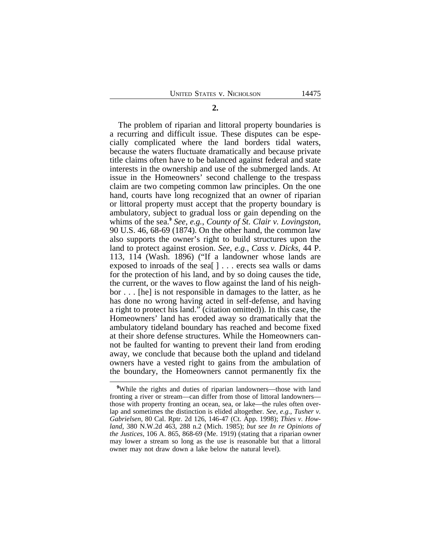The problem of riparian and littoral property boundaries is a recurring and difficult issue. These disputes can be especially complicated where the land borders tidal waters, because the waters fluctuate dramatically and because private title claims often have to be balanced against federal and state interests in the ownership and use of the submerged lands. At issue in the Homeowners' second challenge to the trespass claim are two competing common law principles. On the one hand, courts have long recognized that an owner of riparian or littoral property must accept that the property boundary is ambulatory, subject to gradual loss or gain depending on the whims of the sea.**<sup>9</sup>**  *See, e.g.*, *County of St. Clair v. Lovingston*, 90 U.S. 46, 68-69 (1874). On the other hand, the common law also supports the owner's right to build structures upon the land to protect against erosion. *See, e.g.*, *Cass v. Dicks*, 44 P. 113, 114 (Wash. 1896) ("If a landowner whose lands are exposed to inroads of the sea[ ] . . . erects sea walls or dams for the protection of his land, and by so doing causes the tide, the current, or the waves to flow against the land of his neighbor . . . [he] is not responsible in damages to the latter, as he has done no wrong having acted in self-defense, and having

a right to protect his land." (citation omitted)). In this case, the Homeowners' land has eroded away so dramatically that the ambulatory tideland boundary has reached and become fixed at their shore defense structures. While the Homeowners cannot be faulted for wanting to prevent their land from eroding away, we conclude that because both the upland and tideland owners have a vested right to gains from the ambulation of the boundary, the Homeowners cannot permanently fix the

**<sup>9</sup>**While the rights and duties of riparian landowners—those with land fronting a river or stream—can differ from those of littoral landowners those with property fronting an ocean, sea, or lake—the rules often overlap and sometimes the distinction is elided altogether. *See, e.g.*, *Tusher v. Gabrielsen*, 80 Cal. Rptr. 2d 126, 146-47 (Ct. App. 1998); *Thies v. Howland*, 380 N.W.2d 463, 288 n.2 (Mich. 1985); *but see In re Opinions of the Justices*, 106 A. 865, 868-69 (Me. 1919) (stating that a riparian owner may lower a stream so long as the use is reasonable but that a littoral owner may not draw down a lake below the natural level).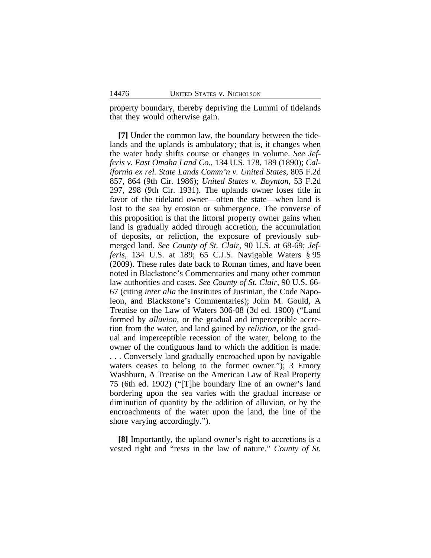property boundary, thereby depriving the Lummi of tidelands that they would otherwise gain.

**[7]** Under the common law, the boundary between the tidelands and the uplands is ambulatory; that is, it changes when the water body shifts course or changes in volume. *See Jefferis v. East Omaha Land Co.*, 134 U.S. 178, 189 (1890); *California ex rel. State Lands Comm'n v. United States*, 805 F.2d 857, 864 (9th Cir. 1986); *United States v. Boynton*, 53 F.2d 297, 298 (9th Cir. 1931). The uplands owner loses title in favor of the tideland owner—often the state—when land is lost to the sea by erosion or submergence. The converse of this proposition is that the littoral property owner gains when land is gradually added through accretion, the accumulation of deposits, or reliction, the exposure of previously submerged land. *See County of St. Clair*, 90 U.S. at 68-69; *Jefferis*, 134 U.S. at 189; 65 C.J.S. Navigable Waters § 95 (2009). These rules date back to Roman times, and have been noted in Blackstone's Commentaries and many other common law authorities and cases. *See County of St. Clair*, 90 U.S. 66- 67 (citing *inter alia* the Institutes of Justinian, the Code Napoleon, and Blackstone's Commentaries); John M. Gould, A Treatise on the Law of Waters 306-08 (3d ed. 1900) ("Land formed by *alluvion*, or the gradual and imperceptible accretion from the water, and land gained by *reliction*, or the gradual and imperceptible recession of the water, belong to the owner of the contiguous land to which the addition is made. . . . Conversely land gradually encroached upon by navigable waters ceases to belong to the former owner."); 3 Emory Washburn, A Treatise on the American Law of Real Property 75 (6th ed. 1902) ("[T]he boundary line of an owner's land bordering upon the sea varies with the gradual increase or diminution of quantity by the addition of alluvion, or by the encroachments of the water upon the land, the line of the shore varying accordingly.").

**[8]** Importantly, the upland owner's right to accretions is a vested right and "rests in the law of nature." *County of St.*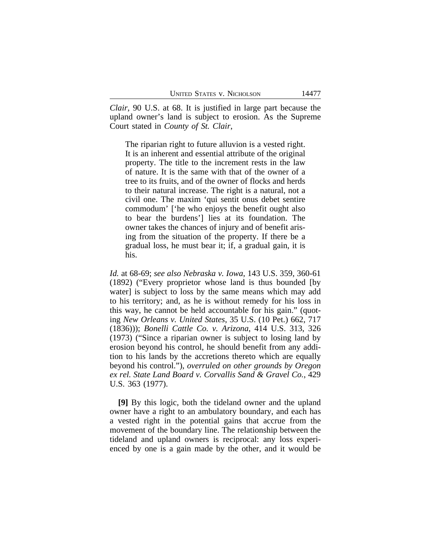*Clair*, 90 U.S. at 68. It is justified in large part because the upland owner's land is subject to erosion. As the Supreme Court stated in *County of St. Clair*,

The riparian right to future alluvion is a vested right. It is an inherent and essential attribute of the original property. The title to the increment rests in the law of nature. It is the same with that of the owner of a tree to its fruits, and of the owner of flocks and herds to their natural increase. The right is a natural, not a civil one. The maxim 'qui sentit onus debet sentire commodum' ['he who enjoys the benefit ought also to bear the burdens'] lies at its foundation. The owner takes the chances of injury and of benefit arising from the situation of the property. If there be a gradual loss, he must bear it; if, a gradual gain, it is his.

*Id.* at 68-69; *see also Nebraska v. Iowa*, 143 U.S. 359, 360-61 (1892) ("Every proprietor whose land is thus bounded [by water] is subject to loss by the same means which may add to his territory; and, as he is without remedy for his loss in this way, he cannot be held accountable for his gain." (quoting *New Orleans v. United States*, 35 U.S. (10 Pet.) 662, 717 (1836))); *Bonelli Cattle Co. v. Arizona*, 414 U.S. 313, 326 (1973) ("Since a riparian owner is subject to losing land by erosion beyond his control, he should benefit from any addition to his lands by the accretions thereto which are equally beyond his control."), *overruled on other grounds by Oregon ex rel. State Land Board v. Corvallis Sand & Gravel Co.*, 429 U.S. 363 (1977).

**[9]** By this logic, both the tideland owner and the upland owner have a right to an ambulatory boundary, and each has a vested right in the potential gains that accrue from the movement of the boundary line. The relationship between the tideland and upland owners is reciprocal: any loss experienced by one is a gain made by the other, and it would be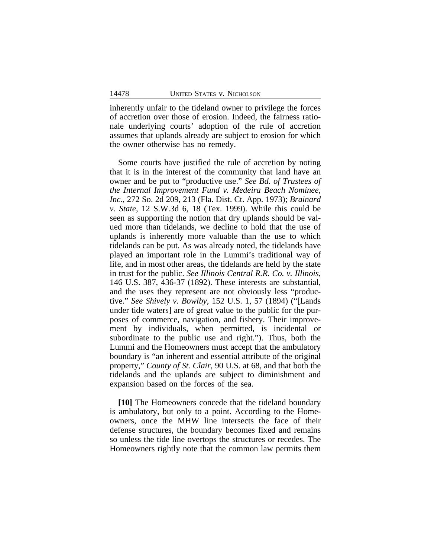inherently unfair to the tideland owner to privilege the forces of accretion over those of erosion. Indeed, the fairness rationale underlying courts' adoption of the rule of accretion assumes that uplands already are subject to erosion for which the owner otherwise has no remedy.

Some courts have justified the rule of accretion by noting that it is in the interest of the community that land have an owner and be put to "productive use." *See Bd. of Trustees of the Internal Improvement Fund v. Medeira Beach Nominee, Inc.*, 272 So. 2d 209, 213 (Fla. Dist. Ct. App. 1973); *Brainard v. State*, 12 S.W.3d 6, 18 (Tex. 1999). While this could be seen as supporting the notion that dry uplands should be valued more than tidelands, we decline to hold that the use of uplands is inherently more valuable than the use to which tidelands can be put. As was already noted, the tidelands have played an important role in the Lummi's traditional way of life, and in most other areas, the tidelands are held by the state in trust for the public. *See Illinois Central R.R. Co. v. Illinois*, 146 U.S. 387, 436-37 (1892). These interests are substantial, and the uses they represent are not obviously less "productive." *See Shively v. Bowlby*, 152 U.S. 1, 57 (1894) ("[Lands under tide waters] are of great value to the public for the purposes of commerce, navigation, and fishery. Their improvement by individuals, when permitted, is incidental or subordinate to the public use and right."). Thus, both the Lummi and the Homeowners must accept that the ambulatory boundary is "an inherent and essential attribute of the original property," *County of St. Clair*, 90 U.S. at 68, and that both the tidelands and the uplands are subject to diminishment and expansion based on the forces of the sea.

**[10]** The Homeowners concede that the tideland boundary is ambulatory, but only to a point. According to the Homeowners, once the MHW line intersects the face of their defense structures, the boundary becomes fixed and remains so unless the tide line overtops the structures or recedes. The Homeowners rightly note that the common law permits them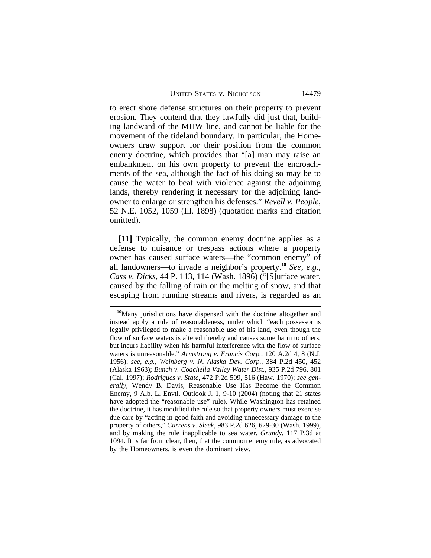to erect shore defense structures on their property to prevent erosion. They contend that they lawfully did just that, building landward of the MHW line, and cannot be liable for the movement of the tideland boundary. In particular, the Homeowners draw support for their position from the common enemy doctrine, which provides that "[a] man may raise an embankment on his own property to prevent the encroachments of the sea, although the fact of his doing so may be to cause the water to beat with violence against the adjoining lands, thereby rendering it necessary for the adjoining landowner to enlarge or strengthen his defenses." *Revell v. People*, 52 N.E. 1052, 1059 (Ill. 1898) (quotation marks and citation omitted).

**[11]** Typically, the common enemy doctrine applies as a defense to nuisance or trespass actions where a property owner has caused surface waters—the "common enemy" of all landowners—to invade a neighbor's property.**<sup>10</sup>** *See, e.g.*, *Cass v. Dicks*, 44 P. 113, 114 (Wash. 1896) ("[S]urface water, caused by the falling of rain or the melting of snow, and that escaping from running streams and rivers, is regarded as an

**<sup>10</sup>**Many jurisdictions have dispensed with the doctrine altogether and instead apply a rule of reasonableness, under which "each possessor is legally privileged to make a reasonable use of his land, even though the flow of surface waters is altered thereby and causes some harm to others, but incurs liability when his harmful interference with the flow of surface waters is unreasonable." *Armstrong v. Francis Corp.*, 120 A.2d 4, 8 (N.J. 1956); *see, e.g.*, *Weinberg v. N. Alaska Dev. Corp.*, 384 P.2d 450, 452 (Alaska 1963); *Bunch v. Coachella Valley Water Dist.*, 935 P.2d 796, 801 (Cal. 1997); *Rodrigues v. State*, 472 P.2d 509, 516 (Haw. 1970); *see generally*, Wendy B. Davis, Reasonable Use Has Become the Common Enemy, 9 Alb. L. Envtl. Outlook J. 1, 9-10 (2004) (noting that 21 states have adopted the "reasonable use" rule). While Washington has retained the doctrine, it has modified the rule so that property owners must exercise due care by "acting in good faith and avoiding unnecessary damage to the property of others," *Currens v. Sleek*, 983 P.2d 626, 629-30 (Wash. 1999), and by making the rule inapplicable to sea water. *Grundy*, 117 P.3d at 1094. It is far from clear, then, that the common enemy rule, as advocated by the Homeowners, is even the dominant view.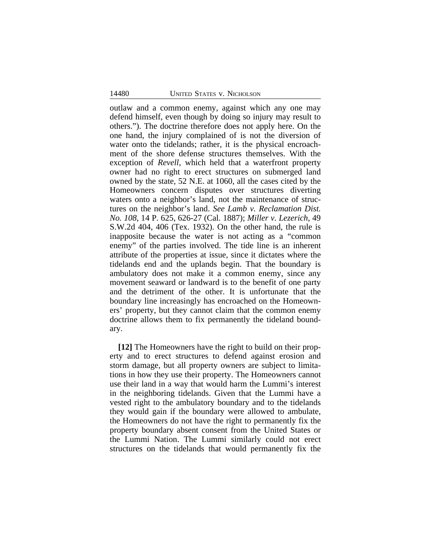outlaw and a common enemy, against which any one may defend himself, even though by doing so injury may result to others."). The doctrine therefore does not apply here. On the one hand, the injury complained of is not the diversion of water onto the tidelands; rather, it is the physical encroachment of the shore defense structures themselves. With the exception of *Revell*, which held that a waterfront property owner had no right to erect structures on submerged land owned by the state, 52 N.E. at 1060, all the cases cited by the Homeowners concern disputes over structures diverting waters onto a neighbor's land, not the maintenance of structures on the neighbor's land. *See Lamb v. Reclamation Dist. No. 108*, 14 P. 625, 626-27 (Cal. 1887); *Miller v. Lezerich*, 49 S.W.2d 404, 406 (Tex. 1932). On the other hand, the rule is inapposite because the water is not acting as a "common enemy" of the parties involved. The tide line is an inherent attribute of the properties at issue, since it dictates where the tidelands end and the uplands begin. That the boundary is ambulatory does not make it a common enemy, since any movement seaward or landward is to the benefit of one party and the detriment of the other. It is unfortunate that the boundary line increasingly has encroached on the Homeowners' property, but they cannot claim that the common enemy doctrine allows them to fix permanently the tideland boundary.

**[12]** The Homeowners have the right to build on their property and to erect structures to defend against erosion and storm damage, but all property owners are subject to limitations in how they use their property. The Homeowners cannot use their land in a way that would harm the Lummi's interest in the neighboring tidelands. Given that the Lummi have a vested right to the ambulatory boundary and to the tidelands they would gain if the boundary were allowed to ambulate, the Homeowners do not have the right to permanently fix the property boundary absent consent from the United States or the Lummi Nation. The Lummi similarly could not erect structures on the tidelands that would permanently fix the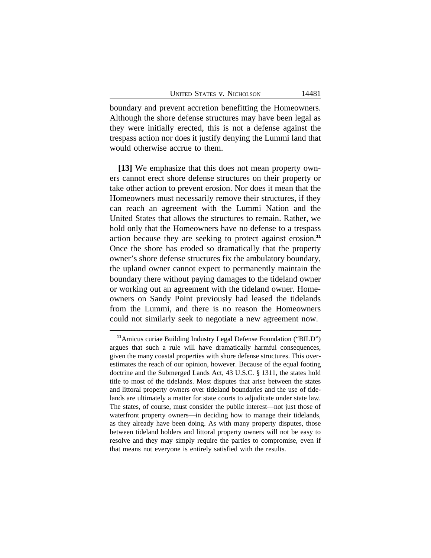boundary and prevent accretion benefitting the Homeowners. Although the shore defense structures may have been legal as they were initially erected, this is not a defense against the trespass action nor does it justify denying the Lummi land that would otherwise accrue to them.

**[13]** We emphasize that this does not mean property owners cannot erect shore defense structures on their property or take other action to prevent erosion. Nor does it mean that the Homeowners must necessarily remove their structures, if they can reach an agreement with the Lummi Nation and the United States that allows the structures to remain. Rather, we hold only that the Homeowners have no defense to a trespass action because they are seeking to protect against erosion.**<sup>11</sup>** Once the shore has eroded so dramatically that the property owner's shore defense structures fix the ambulatory boundary, the upland owner cannot expect to permanently maintain the boundary there without paying damages to the tideland owner or working out an agreement with the tideland owner. Homeowners on Sandy Point previously had leased the tidelands from the Lummi, and there is no reason the Homeowners could not similarly seek to negotiate a new agreement now.

**<sup>11</sup>**Amicus curiae Building Industry Legal Defense Foundation ("BILD") argues that such a rule will have dramatically harmful consequences, given the many coastal properties with shore defense structures. This overestimates the reach of our opinion, however. Because of the equal footing doctrine and the Submerged Lands Act, 43 U.S.C. § 1311, the states hold title to most of the tidelands. Most disputes that arise between the states and littoral property owners over tideland boundaries and the use of tidelands are ultimately a matter for state courts to adjudicate under state law. The states, of course, must consider the public interest—not just those of waterfront property owners—in deciding how to manage their tidelands, as they already have been doing. As with many property disputes, those between tideland holders and littoral property owners will not be easy to resolve and they may simply require the parties to compromise, even if that means not everyone is entirely satisfied with the results.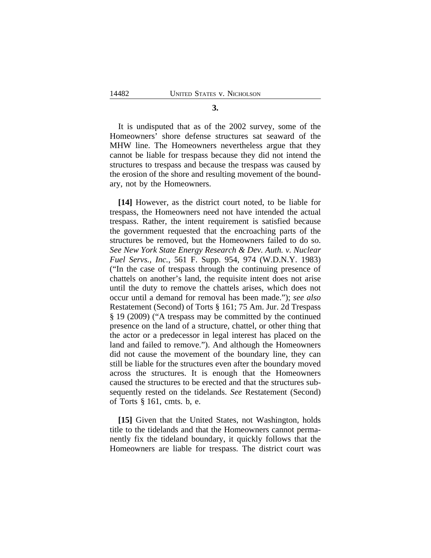**3.**

It is undisputed that as of the 2002 survey, some of the Homeowners' shore defense structures sat seaward of the MHW line. The Homeowners nevertheless argue that they cannot be liable for trespass because they did not intend the structures to trespass and because the trespass was caused by the erosion of the shore and resulting movement of the boundary, not by the Homeowners.

**[14]** However, as the district court noted, to be liable for trespass, the Homeowners need not have intended the actual trespass. Rather, the intent requirement is satisfied because the government requested that the encroaching parts of the structures be removed, but the Homeowners failed to do so. *See New York State Energy Research & Dev. Auth. v. Nuclear Fuel Servs., Inc.*, 561 F. Supp. 954, 974 (W.D.N.Y. 1983) ("In the case of trespass through the continuing presence of chattels on another's land, the requisite intent does not arise until the duty to remove the chattels arises, which does not occur until a demand for removal has been made."); *see also* Restatement (Second) of Torts § 161; 75 Am. Jur. 2d Trespass § 19 (2009) ("A trespass may be committed by the continued presence on the land of a structure, chattel, or other thing that the actor or a predecessor in legal interest has placed on the land and failed to remove."). And although the Homeowners did not cause the movement of the boundary line, they can still be liable for the structures even after the boundary moved across the structures. It is enough that the Homeowners caused the structures to be erected and that the structures subsequently rested on the tidelands. *See* Restatement (Second) of Torts § 161, cmts. b, e.

**[15]** Given that the United States, not Washington, holds title to the tidelands and that the Homeowners cannot permanently fix the tideland boundary, it quickly follows that the Homeowners are liable for trespass. The district court was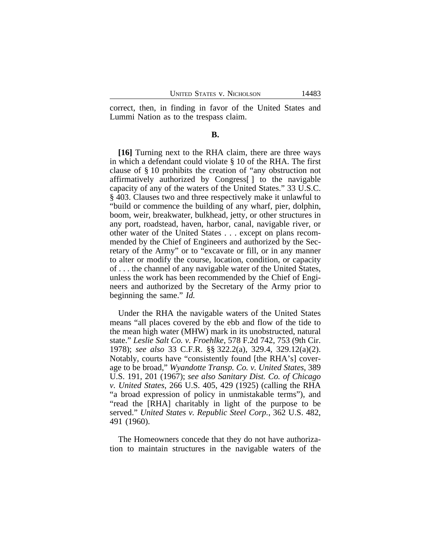correct, then, in finding in favor of the United States and Lummi Nation as to the trespass claim.

#### **B.**

**[16]** Turning next to the RHA claim, there are three ways in which a defendant could violate § 10 of the RHA. The first clause of § 10 prohibits the creation of "any obstruction not affirmatively authorized by Congress[ ] to the navigable capacity of any of the waters of the United States." 33 U.S.C. § 403. Clauses two and three respectively make it unlawful to "build or commence the building of any wharf, pier, dolphin, boom, weir, breakwater, bulkhead, jetty, or other structures in any port, roadstead, haven, harbor, canal, navigable river, or other water of the United States . . . except on plans recommended by the Chief of Engineers and authorized by the Secretary of the Army" or to "excavate or fill, or in any manner to alter or modify the course, location, condition, or capacity of . . . the channel of any navigable water of the United States, unless the work has been recommended by the Chief of Engineers and authorized by the Secretary of the Army prior to beginning the same." *Id.*

Under the RHA the navigable waters of the United States means "all places covered by the ebb and flow of the tide to the mean high water (MHW) mark in its unobstructed, natural state." *Leslie Salt Co. v. Froehlke*, 578 F.2d 742, 753 (9th Cir. 1978); *see also* 33 C.F.R. §§ 322.2(a), 329.4, 329.12(a)(2). Notably, courts have "consistently found [the RHA's] coverage to be broad," *Wyandotte Transp. Co. v. United States*, 389 U.S. 191, 201 (1967); *see also Sanitary Dist. Co. of Chicago v. United States*, 266 U.S. 405, 429 (1925) (calling the RHA "a broad expression of policy in unmistakable terms"), and "read the [RHA] charitably in light of the purpose to be served." *United States v. Republic Steel Corp.*, 362 U.S. 482, 491 (1960).

The Homeowners concede that they do not have authorization to maintain structures in the navigable waters of the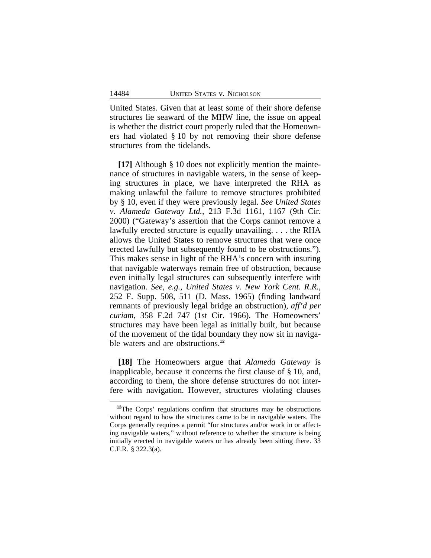United States. Given that at least some of their shore defense structures lie seaward of the MHW line, the issue on appeal is whether the district court properly ruled that the Homeowners had violated § 10 by not removing their shore defense structures from the tidelands.

**[17]** Although § 10 does not explicitly mention the maintenance of structures in navigable waters, in the sense of keeping structures in place, we have interpreted the RHA as making unlawful the failure to remove structures prohibited by § 10, even if they were previously legal. *See United States v. Alameda Gateway Ltd.*, 213 F.3d 1161, 1167 (9th Cir. 2000) ("Gateway's assertion that the Corps cannot remove a lawfully erected structure is equally unavailing. . . . the RHA allows the United States to remove structures that were once erected lawfully but subsequently found to be obstructions."). This makes sense in light of the RHA's concern with insuring that navigable waterways remain free of obstruction, because even initially legal structures can subsequently interfere with navigation. *See, e.g.*, *United States v. New York Cent. R.R.*, 252 F. Supp. 508, 511 (D. Mass. 1965) (finding landward remnants of previously legal bridge an obstruction), *aff'd per curiam*, 358 F.2d 747 (1st Cir. 1966). The Homeowners' structures may have been legal as initially built, but because of the movement of the tidal boundary they now sit in navigable waters and are obstructions.**<sup>12</sup>**

**[18]** The Homeowners argue that *Alameda Gateway* is inapplicable, because it concerns the first clause of § 10, and, according to them, the shore defense structures do not interfere with navigation. However, structures violating clauses

**<sup>12</sup>**The Corps' regulations confirm that structures may be obstructions without regard to how the structures came to be in navigable waters. The Corps generally requires a permit "for structures and/or work in or affecting navigable waters," without reference to whether the structure is being initially erected in navigable waters or has already been sitting there. 33 C.F.R. § 322.3(a).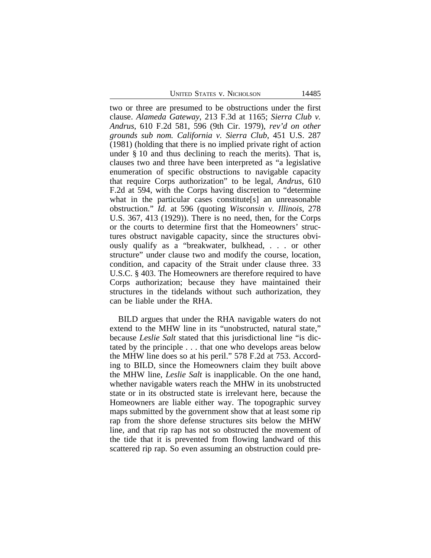UNITED STATES V. NICHOLSON 14485

two or three are presumed to be obstructions under the first clause. *Alameda Gateway*, 213 F.3d at 1165; *Sierra Club v. Andrus*, 610 F.2d 581, 596 (9th Cir. 1979), *rev'd on other grounds sub nom. California v. Sierra Club*, 451 U.S. 287 (1981) (holding that there is no implied private right of action under § 10 and thus declining to reach the merits). That is, clauses two and three have been interpreted as "a legislative enumeration of specific obstructions to navigable capacity that require Corps authorization" to be legal, *Andrus*, 610 F.2d at 594, with the Corps having discretion to "determine what in the particular cases constitute[s] an unreasonable obstruction." *Id.* at 596 (quoting *Wisconsin v. Illinois*, 278 U.S. 367, 413 (1929)). There is no need, then, for the Corps or the courts to determine first that the Homeowners' structures obstruct navigable capacity, since the structures obviously qualify as a "breakwater, bulkhead, . . . or other structure" under clause two and modify the course, location, condition, and capacity of the Strait under clause three. 33 U.S.C. § 403. The Homeowners are therefore required to have Corps authorization; because they have maintained their structures in the tidelands without such authorization, they can be liable under the RHA.

BILD argues that under the RHA navigable waters do not extend to the MHW line in its "unobstructed, natural state," because *Leslie Salt* stated that this jurisdictional line "is dictated by the principle . . . that one who develops areas below the MHW line does so at his peril." 578 F.2d at 753. According to BILD, since the Homeowners claim they built above the MHW line, *Leslie Salt* is inapplicable. On the one hand, whether navigable waters reach the MHW in its unobstructed state or in its obstructed state is irrelevant here, because the Homeowners are liable either way. The topographic survey maps submitted by the government show that at least some rip rap from the shore defense structures sits below the MHW line, and that rip rap has not so obstructed the movement of the tide that it is prevented from flowing landward of this scattered rip rap. So even assuming an obstruction could pre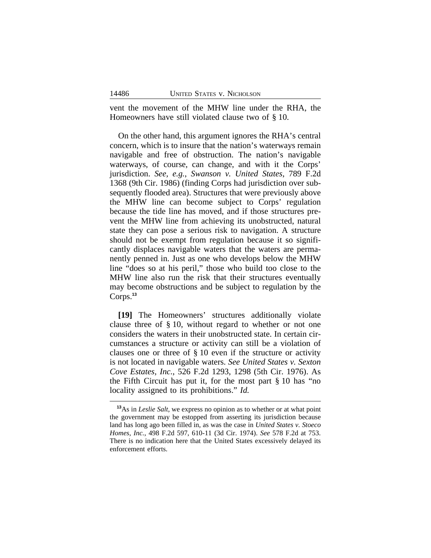vent the movement of the MHW line under the RHA, the Homeowners have still violated clause two of § 10.

On the other hand, this argument ignores the RHA's central concern, which is to insure that the nation's waterways remain navigable and free of obstruction. The nation's navigable waterways, of course, can change, and with it the Corps' jurisdiction. *See, e.g.*, *Swanson v. United States*, 789 F.2d 1368 (9th Cir. 1986) (finding Corps had jurisdiction over subsequently flooded area). Structures that were previously above the MHW line can become subject to Corps' regulation because the tide line has moved, and if those structures prevent the MHW line from achieving its unobstructed, natural state they can pose a serious risk to navigation. A structure should not be exempt from regulation because it so significantly displaces navigable waters that the waters are permanently penned in. Just as one who develops below the MHW line "does so at his peril," those who build too close to the MHW line also run the risk that their structures eventually may become obstructions and be subject to regulation by the Corps.**<sup>13</sup>**

**[19]** The Homeowners' structures additionally violate clause three of § 10, without regard to whether or not one considers the waters in their unobstructed state. In certain circumstances a structure or activity can still be a violation of clauses one or three of § 10 even if the structure or activity is not located in navigable waters. *See United States v. Sexton Cove Estates, Inc.*, 526 F.2d 1293, 1298 (5th Cir. 1976). As the Fifth Circuit has put it, for the most part § 10 has "no locality assigned to its prohibitions." *Id.*

**<sup>13</sup>**As in *Leslie Salt*, we express no opinion as to whether or at what point the government may be estopped from asserting its jurisdiction because land has long ago been filled in, as was the case in *United States v. Stoeco Homes, Inc.*, 498 F.2d 597, 610-11 (3d Cir. 1974). *See* 578 F.2d at 753. There is no indication here that the United States excessively delayed its enforcement efforts.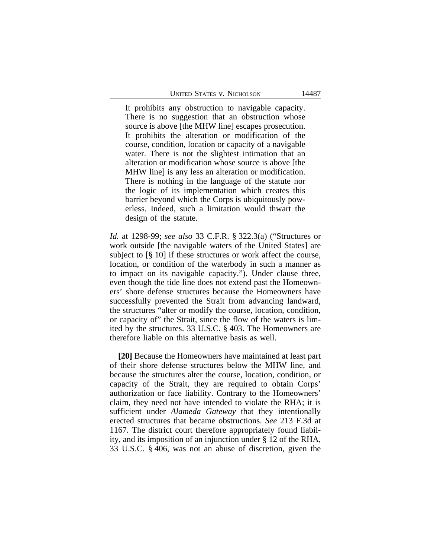It prohibits any obstruction to navigable capacity. There is no suggestion that an obstruction whose source is above [the MHW line] escapes prosecution. It prohibits the alteration or modification of the course, condition, location or capacity of a navigable water. There is not the slightest intimation that an alteration or modification whose source is above [the MHW line] is any less an alteration or modification. There is nothing in the language of the statute nor the logic of its implementation which creates this barrier beyond which the Corps is ubiquitously powerless. Indeed, such a limitation would thwart the design of the statute.

*Id.* at 1298-99; *see also* 33 C.F.R. § 322.3(a) ("Structures or work outside [the navigable waters of the United States] are subject to [§ 10] if these structures or work affect the course, location, or condition of the waterbody in such a manner as to impact on its navigable capacity."). Under clause three, even though the tide line does not extend past the Homeowners' shore defense structures because the Homeowners have successfully prevented the Strait from advancing landward, the structures "alter or modify the course, location, condition, or capacity of" the Strait, since the flow of the waters is limited by the structures. 33 U.S.C. § 403. The Homeowners are therefore liable on this alternative basis as well.

**[20]** Because the Homeowners have maintained at least part of their shore defense structures below the MHW line, and because the structures alter the course, location, condition, or capacity of the Strait, they are required to obtain Corps' authorization or face liability. Contrary to the Homeowners' claim, they need not have intended to violate the RHA; it is sufficient under *Alameda Gateway* that they intentionally erected structures that became obstructions. *See* 213 F.3d at 1167. The district court therefore appropriately found liability, and its imposition of an injunction under § 12 of the RHA, 33 U.S.C. § 406, was not an abuse of discretion, given the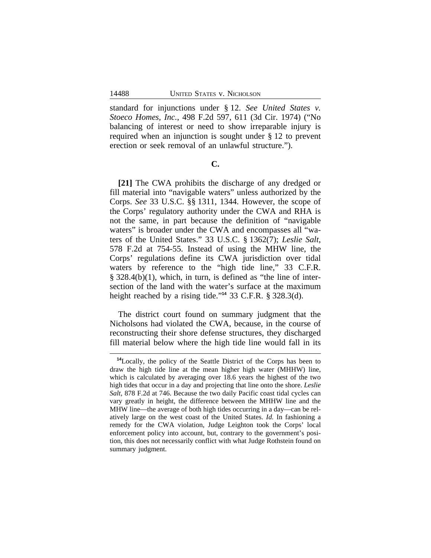standard for injunctions under § 12. *See United States v. Stoeco Homes, Inc.*, 498 F.2d 597, 611 (3d Cir. 1974) ("No balancing of interest or need to show irreparable injury is required when an injunction is sought under § 12 to prevent erection or seek removal of an unlawful structure.").

## **C.**

**[21]** The CWA prohibits the discharge of any dredged or fill material into "navigable waters" unless authorized by the Corps. *See* 33 U.S.C. §§ 1311, 1344. However, the scope of the Corps' regulatory authority under the CWA and RHA is not the same, in part because the definition of "navigable waters" is broader under the CWA and encompasses all "waters of the United States." 33 U.S.C. § 1362(7); *Leslie Salt*, 578 F.2d at 754-55. Instead of using the MHW line, the Corps' regulations define its CWA jurisdiction over tidal waters by reference to the "high tide line," 33 C.F.R. § 328.4(b)(1), which, in turn, is defined as "the line of intersection of the land with the water's surface at the maximum height reached by a rising tide." **<sup>14</sup>** 33 C.F.R. § 328.3(d).

The district court found on summary judgment that the Nicholsons had violated the CWA, because, in the course of reconstructing their shore defense structures, they discharged fill material below where the high tide line would fall in its

**<sup>14</sup>**Locally, the policy of the Seattle District of the Corps has been to draw the high tide line at the mean higher high water (MHHW) line, which is calculated by averaging over 18.6 years the highest of the two high tides that occur in a day and projecting that line onto the shore. *Leslie Salt*, 878 F.2d at 746. Because the two daily Pacific coast tidal cycles can vary greatly in height, the difference between the MHHW line and the MHW line—the average of both high tides occurring in a day—can be relatively large on the west coast of the United States. *Id.* In fashioning a remedy for the CWA violation, Judge Leighton took the Corps' local enforcement policy into account, but, contrary to the government's position, this does not necessarily conflict with what Judge Rothstein found on summary judgment.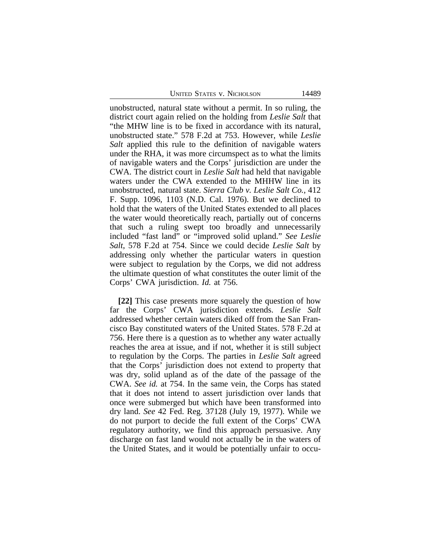UNITED STATES V. NICHOLSON 14489

unobstructed, natural state without a permit. In so ruling, the district court again relied on the holding from *Leslie Salt* that "the MHW line is to be fixed in accordance with its natural, unobstructed state." 578 F.2d at 753. However, while *Leslie Salt* applied this rule to the definition of navigable waters under the RHA, it was more circumspect as to what the limits of navigable waters and the Corps' jurisdiction are under the CWA. The district court in *Leslie Salt* had held that navigable waters under the CWA extended to the MHHW line in its unobstructed, natural state. *Sierra Club v. Leslie Salt Co.*, 412 F. Supp. 1096, 1103 (N.D. Cal. 1976). But we declined to hold that the waters of the United States extended to all places the water would theoretically reach, partially out of concerns that such a ruling swept too broadly and unnecessarily included "fast land" or "improved solid upland." *See Leslie Salt*, 578 F.2d at 754. Since we could decide *Leslie Salt* by addressing only whether the particular waters in question were subject to regulation by the Corps, we did not address the ultimate question of what constitutes the outer limit of the Corps' CWA jurisdiction. *Id.* at 756.

**[22]** This case presents more squarely the question of how far the Corps' CWA jurisdiction extends. *Leslie Salt* addressed whether certain waters diked off from the San Francisco Bay constituted waters of the United States. 578 F.2d at 756. Here there is a question as to whether any water actually reaches the area at issue, and if not, whether it is still subject to regulation by the Corps. The parties in *Leslie Salt* agreed that the Corps' jurisdiction does not extend to property that was dry, solid upland as of the date of the passage of the CWA. *See id.* at 754. In the same vein, the Corps has stated that it does not intend to assert jurisdiction over lands that once were submerged but which have been transformed into dry land. *See* 42 Fed. Reg. 37128 (July 19, 1977). While we do not purport to decide the full extent of the Corps' CWA regulatory authority, we find this approach persuasive. Any discharge on fast land would not actually be in the waters of the United States, and it would be potentially unfair to occu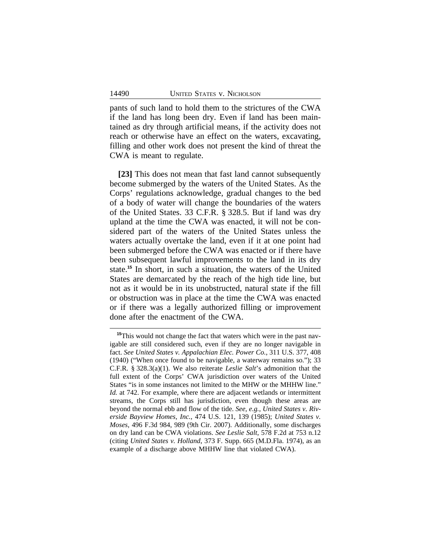pants of such land to hold them to the strictures of the CWA if the land has long been dry. Even if land has been maintained as dry through artificial means, if the activity does not reach or otherwise have an effect on the waters, excavating, filling and other work does not present the kind of threat the CWA is meant to regulate.

**[23]** This does not mean that fast land cannot subsequently become submerged by the waters of the United States. As the Corps' regulations acknowledge, gradual changes to the bed of a body of water will change the boundaries of the waters of the United States. 33 C.F.R. § 328.5. But if land was dry upland at the time the CWA was enacted, it will not be considered part of the waters of the United States unless the waters actually overtake the land, even if it at one point had been submerged before the CWA was enacted or if there have been subsequent lawful improvements to the land in its dry state.**<sup>15</sup>** In short, in such a situation, the waters of the United States are demarcated by the reach of the high tide line, but not as it would be in its unobstructed, natural state if the fill or obstruction was in place at the time the CWA was enacted or if there was a legally authorized filling or improvement done after the enactment of the CWA.

**<sup>15</sup>**This would not change the fact that waters which were in the past navigable are still considered such, even if they are no longer navigable in fact. *See United States v. Appalachian Elec. Power Co.*, 311 U.S. 377, 408 (1940) ("When once found to be navigable, a waterway remains so."); 33 C.F.R. § 328.3(a)(1). We also reiterate *Leslie Salt*'s admonition that the full extent of the Corps' CWA jurisdiction over waters of the United States "is in some instances not limited to the MHW or the MHHW line." *Id.* at 742. For example, where there are adjacent wetlands or intermittent streams, the Corps still has jurisdiction, even though these areas are beyond the normal ebb and flow of the tide. *See, e.g.*, *United States v. Riverside Bayview Homes, Inc.*, 474 U.S. 121, 139 (1985); *United States v. Moses*, 496 F.3d 984, 989 (9th Cir. 2007). Additionally, some discharges on dry land can be CWA violations. *See Leslie Salt*, 578 F.2d at 753 n.12 (citing *United States v. Holland*, 373 F. Supp. 665 (M.D.Fla. 1974), as an example of a discharge above MHHW line that violated CWA).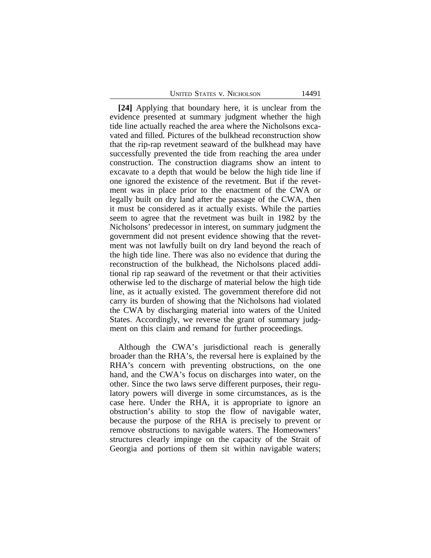| UNITED STATES V. NICHOLSON |  |
|----------------------------|--|
|----------------------------|--|

**[24]** Applying that boundary here, it is unclear from the evidence presented at summary judgment whether the high tide line actually reached the area where the Nicholsons excavated and filled. Pictures of the bulkhead reconstruction show that the rip-rap revetment seaward of the bulkhead may have successfully prevented the tide from reaching the area under construction. The construction diagrams show an intent to excavate to a depth that would be below the high tide line if one ignored the existence of the revetment. But if the revetment was in place prior to the enactment of the CWA or legally built on dry land after the passage of the CWA, then it must be considered as it actually exists. While the parties seem to agree that the revetment was built in 1982 by the Nicholsons' predecessor in interest, on summary judgment the government did not present evidence showing that the revetment was not lawfully built on dry land beyond the reach of the high tide line. There was also no evidence that during the reconstruction of the bulkhead, the Nicholsons placed additional rip rap seaward of the revetment or that their activities otherwise led to the discharge of material below the high tide line, as it actually existed. The government therefore did not carry its burden of showing that the Nicholsons had violated the CWA by discharging material into waters of the United States. Accordingly, we reverse the grant of summary judgment on this claim and remand for further proceedings.

Although the CWA's jurisdictional reach is generally broader than the RHA's, the reversal here is explained by the RHA's concern with preventing obstructions, on the one hand, and the CWA's focus on discharges into water, on the other. Since the two laws serve different purposes, their regulatory powers will diverge in some circumstances, as is the case here. Under the RHA, it is appropriate to ignore an obstruction's ability to stop the flow of navigable water, because the purpose of the RHA is precisely to prevent or remove obstructions to navigable waters. The Homeowners' structures clearly impinge on the capacity of the Strait of Georgia and portions of them sit within navigable waters;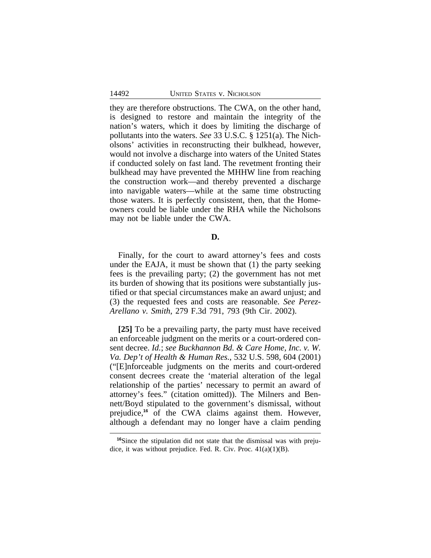they are therefore obstructions. The CWA, on the other hand, is designed to restore and maintain the integrity of the nation's waters, which it does by limiting the discharge of pollutants into the waters. *See* 33 U.S.C. § 1251(a). The Nicholsons' activities in reconstructing their bulkhead, however, would not involve a discharge into waters of the United States if conducted solely on fast land. The revetment fronting their bulkhead may have prevented the MHHW line from reaching the construction work—and thereby prevented a discharge into navigable waters—while at the same time obstructing those waters. It is perfectly consistent, then, that the Homeowners could be liable under the RHA while the Nicholsons may not be liable under the CWA.

#### **D.**

Finally, for the court to award attorney's fees and costs under the EAJA, it must be shown that (1) the party seeking fees is the prevailing party; (2) the government has not met its burden of showing that its positions were substantially justified or that special circumstances make an award unjust; and (3) the requested fees and costs are reasonable. *See Perez-Arellano v. Smith*, 279 F.3d 791, 793 (9th Cir. 2002).

**[25]** To be a prevailing party, the party must have received an enforceable judgment on the merits or a court-ordered consent decree. *Id.*; *see Buckhannon Bd. & Care Home, Inc. v. W. Va. Dep't of Health & Human Res.*, 532 U.S. 598, 604 (2001) ("[E]nforceable judgments on the merits and court-ordered consent decrees create the 'material alteration of the legal relationship of the parties' necessary to permit an award of attorney's fees." (citation omitted)). The Milners and Bennett/Boyd stipulated to the government's dismissal, without prejudice,**<sup>16</sup>** of the CWA claims against them. However, although a defendant may no longer have a claim pending

**<sup>16</sup>**Since the stipulation did not state that the dismissal was with prejudice, it was without prejudice. Fed. R. Civ. Proc. 41(a)(1)(B).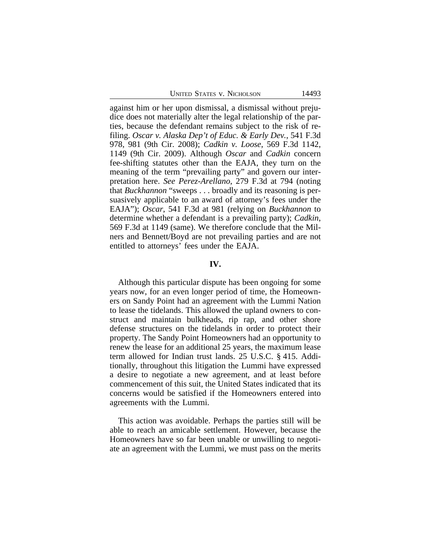UNITED STATES V. NICHOLSON 14493

against him or her upon dismissal, a dismissal without prejudice does not materially alter the legal relationship of the parties, because the defendant remains subject to the risk of refiling. *Oscar v. Alaska Dep't of Educ. & Early Dev.*, 541 F.3d 978, 981 (9th Cir. 2008); *Cadkin v. Loose*, 569 F.3d 1142, 1149 (9th Cir. 2009). Although *Oscar* and *Cadkin* concern fee-shifting statutes other than the EAJA, they turn on the meaning of the term "prevailing party" and govern our interpretation here. *See Perez-Arellano*, 279 F.3d at 794 (noting that *Buckhannon* "sweeps . . . broadly and its reasoning is persuasively applicable to an award of attorney's fees under the EAJA"); *Oscar*, 541 F.3d at 981 (relying on *Buckhannon* to determine whether a defendant is a prevailing party); *Cadkin*, 569 F.3d at 1149 (same). We therefore conclude that the Milners and Bennett/Boyd are not prevailing parties and are not entitled to attorneys' fees under the EAJA.

#### **IV.**

Although this particular dispute has been ongoing for some years now, for an even longer period of time, the Homeowners on Sandy Point had an agreement with the Lummi Nation to lease the tidelands. This allowed the upland owners to construct and maintain bulkheads, rip rap, and other shore defense structures on the tidelands in order to protect their property. The Sandy Point Homeowners had an opportunity to renew the lease for an additional 25 years, the maximum lease term allowed for Indian trust lands. 25 U.S.C. § 415. Additionally, throughout this litigation the Lummi have expressed a desire to negotiate a new agreement, and at least before commencement of this suit, the United States indicated that its concerns would be satisfied if the Homeowners entered into agreements with the Lummi.

This action was avoidable. Perhaps the parties still will be able to reach an amicable settlement. However, because the Homeowners have so far been unable or unwilling to negotiate an agreement with the Lummi, we must pass on the merits